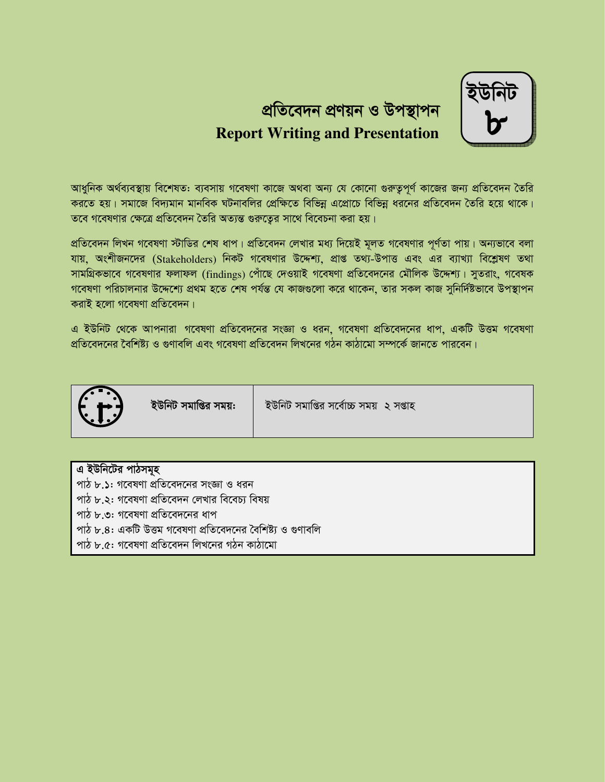# প্ৰতিবেদন প্ৰণয়ন ও উপস্থাপন **Report Writing and Presentation**

আধুনিক অৰ্থব্যবস্থায় বিশেষত: ব্যবসায় গবেষণা কাজে অথবা অন্য যে কোনো গুরুতুপূর্ণ কাজের জন্য প্রতিবেদন তৈরি করতে হয়। সমাজে বিদ্যমান মানবিক ঘটনাবলির প্রেক্ষিতে বিভিন্ন এপ্রোচে বিভিন্ন ধরনের প্রতিবেদন তৈরি হয়ে থাকে। তবে গবেষণার ক্ষেত্রে প্রতিবেদন তৈরি অত্যন্ত গুরুতের সাথে বিবেচনা করা হয়।

প্রতিবেদন লিখন গবেষণা স্টাডির শেষ ধাপ। প্রতিবেদন লেখার মধ্য দিয়েই মূলত গবেষণার পূর্ণতা পায়। অন্যভাবে বলা যায়, অংশীজনদের (Stakeholders) নিকট গবেষণার উদ্দেশ্য, প্রাপ্ত তথ্য-উপাত্ত এবং এর ব্যাখ্যা বিশ্লেষণ তথা সামগ্রিকভাবে গবেষণার ফলাফল (findings) পোঁছে দেওয়াই গবেষণা প্রতিবেদনের মৌলিক উদ্দেশ্য। সুতরাং, গবেষক গবেষণা পরিচালনার উদ্দেশ্যে প্রথম হতে শেষ পর্যন্ত যে কাজগুলো করে থাকেন, তার সকল কাজ সুনির্দিষ্টভাবে উপস্থাপন করাই হলো গবেষণা প্রতিবেদন।

এ ইউনিট থেকে আপনারা গবেষণা প্রতিবেদনের সংজ্ঞা ও ধরন, গবেষণা প্রতিবেদনের ধাপ, একটি উত্তম গবেষণা প্রতিবেদনের বৈশিষ্ট্য ও গুণাবলি এবং গবেষণা প্রতিবেদন লিখনের গঠন কাঠামো সম্পর্কে জানতে পারবেন।



| এ ইউনিটের পাঠসমূহ                                          |
|------------------------------------------------------------|
| পাঠ ৮.১: গবেষণা প্রতিবেদনের সংজ্ঞা ও ধরন                   |
| পাঠ ৮.২: গবেষণা প্রতিবেদন লেখার বিবেচ্য বিষয়              |
| ্পাঠ ৮.৩: গবেষণা প্রতিবেদনের ধাপ                           |
| পাঠ ৮.৪: একটি উত্তম গবেষণা প্রতিবেদনের বৈশিষ্ট্য ও গুণাবলি |
| পাঠ ৮.৫: গবেষণা প্ৰতিবেদন লিখনের গঠন কাঠামো                |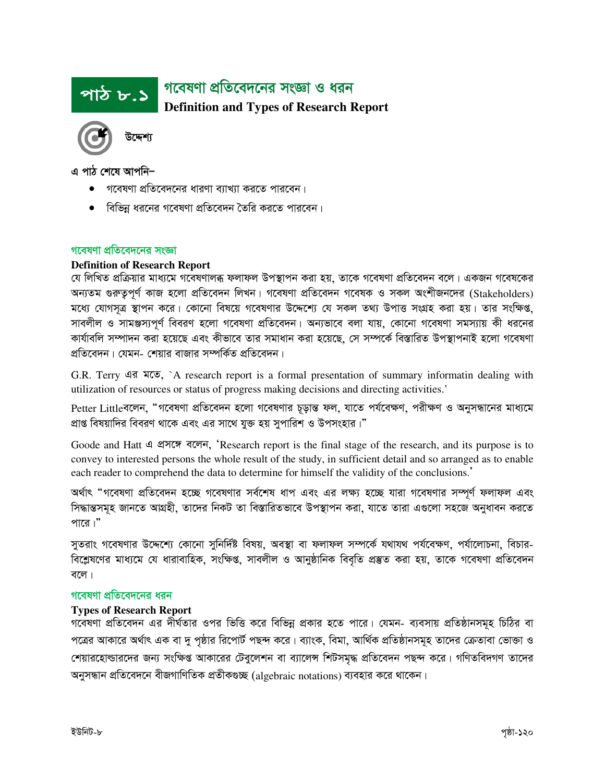## গবেষণা প্রতিবেদনের সংজ্ঞা ও ধরন <u>পাঠ ৮.১</u> **Definition and Types of Research Report**



এ পাঠ শেষে আপনি–

- গবেষণা প্রতিবেদনের ধারণা ব্যাখ্যা করতে পারবেন।
- বিভিন্ন ধরনের গবেষণা প্রতিবেদন তৈরি করতে পারবেন।

#### গবেষণা প্রতিবেদনের সংজ্ঞা

#### **Definition of Research Report**

যে লিখিত প্রক্রিয়ার মাধ্যমে গবেষণালব্ধ ফলাফল উপস্থাপন করা হয়, তাকে গবেষণা প্রতিবেদন বলে। একজন গবেষকের অন্যতম গুরুতুপূর্ণ কাজ হলো প্রতিবেদন লিখন। গবেষণা প্রতিবেদন গবেষক ও সকল অংশীজনদের (Stakeholders) মধ্যে যোগসূত্র স্থাপন করে। কোনো বিষয়ে গবেষণার উদ্দেশ্যে যে সকল তথ্য উপাত্ত সংগ্রহ করা হয়। তার সংক্ষিপ্ত, সাবলীল ও সামঞ্জস্যপূর্ণ বিবরণ হলো গবেষণা প্রতিবেদন। অন্যভাবে বলা যায়, কোনো গবেষণা সমস্যায় কী ধরনের কাৰ্যাবলি সম্পাদন করা হয়েছে এবং কীভাবে তার সমাধান করা হয়েছে, সে সম্পর্কে বিস্তারিত উপস্থাপনাই হলো গবেষণা প্রতিবেদন। যেমন- শেয়ার বাজার সম্পর্কিত প্রতিবেদন।

G.R. Terry এর মতে, `A research report is a formal presentation of summary informatin dealing with utilization of resources or status of progress making decisions and directing activities.'

Petter Littleবলেন. "গবেষণা প্রতিবেদন হলো গবেষণার চূড়ান্ত ফল. যাতে পর্যবেক্ষণ, পরীক্ষণ ও অনুসন্ধানের মাধ্যমে প্রাপ্ত বিষয়াদির বিবরণ থাকে এবং এর সাথে যুক্ত হয় সুপারিশ ও উপসংহার।"

Goode and Hatt 4 थे शत्र बदन, 'Research report is the final stage of the research, and its purpose is to convey to interested persons the whole result of the study, in sufficient detail and so arranged as to enable each reader to comprehend the data to determine for himself the validity of the conclusions.'

অৰ্থাৎ "গবেষণা প্ৰতিবেদন হচ্ছে গবেষণার সৰ্বশেষ ধাপ এবং এর লক্ষ্য হচ্ছে যারা গবেষণার সম্পূর্ণ ফলাফল এবং সিদ্ধান্তসমূহ জানতে আগ্রহী, তাদের নিকট তা বিস্তারিতভাবে উপস্থাপন করা, যাতে তারা এগুলো সহজে অনুধাবন করতে পারে।"

সুতরাং গবেষণার উদ্দেশ্যে কোনো সুনির্দিষ্ট বিষয়, অবস্থা বা ফলাফল সম্পর্কে যথাযথ পর্যবেক্ষণ, পর্যালোচনা, বিচার-বিশ্লেষণের মাধ্যমে যে ধারাবাহিক, সংক্ষিপ্ত, সাবলীল ও আনুষ্ঠানিক বিবৃতি প্রস্তুত করা হয়, তাকে গবেষণা প্রতিবেদন বলে ।

#### গবেষণা প্রতিবেদনের ধরন

#### **Types of Research Report**

গবেষণা প্রতিবেদন এর দীর্ঘতার ওপর ভিত্তি করে বিভিন্ন প্রকার হতে পারে। যেমন- ব্যবসায় প্রতিষ্ঠানসমূহ চিঠির বা পত্রের আকারে অর্থাৎ এক বা দু পৃষ্ঠার রিপোর্ট পছন্দ করে। ব্যাংক, বিমা, আর্থিক প্রতিষ্ঠানসমূহ তাদের ক্রেতাবা ভোক্তা ও শেয়ারহোল্ডারদের জন্য সংক্ষিপ্ত আকারের টেব্রলেশন বা ব্যালেন্স শিটসমদ্ধ প্রতিবেদন পছন্দ করে। গণিতবিদগণ তাদের অনুসন্ধান প্রতিবেদনে বীজগাণিতিক প্রতীকণ্ডচ্ছ (algebraic notations) ব্যবহার করে থাকেন।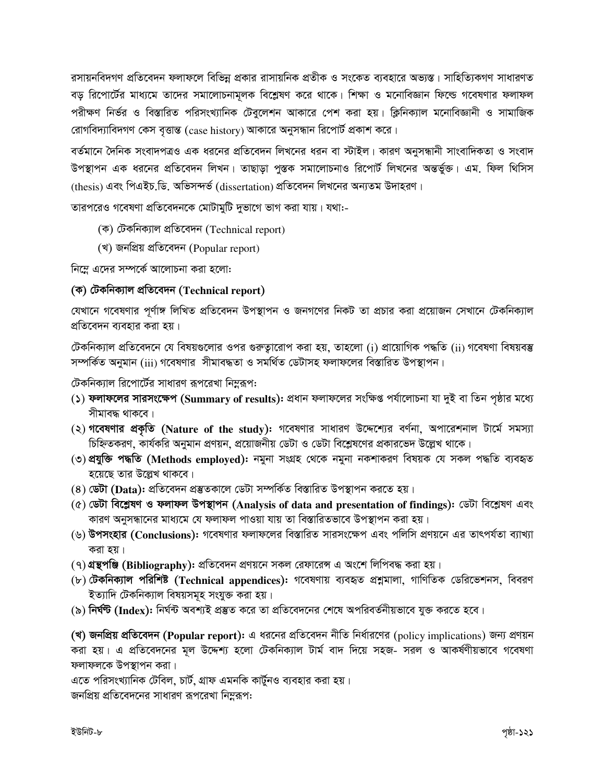রসায়নবিদগণ প্রতিবেদন ফলাফলে বিভিন্ন প্রকার রাসায়নিক প্রতীক ও সংকেত ব্যবহারে অভ্যস্ত। সাহিত্যিকগণ সাধারণত বড় রিপোর্টের মাধ্যমে তাদের সমালোচনামূলক বিশ্লেষণ করে থাকে। শিক্ষা ও মনোবিজ্ঞান ফিল্ডে গবেষণার ফলাফল পরীক্ষণ নির্ভর ও বিস্তারিত পরিসংখ্যানিক টেবুলেশন আকারে পেশ করা হয়। ক্লিনিক্যাল মনোবিজ্ঞানী ও সামাজিক রোগবিদ্যাবিদগণ কেস বৃত্তান্ত (case history) আকারে অনুসন্ধান রিপোর্ট প্রকাশ করে।

বর্তমানে দৈনিক সংবাদপত্রও এক ধরনের প্রতিবেদন লিখনের ধরন বা স্টাইল। কারণ অনুসন্ধানী সাংবাদিকতা ও সংবাদ উপস্থাপন এক ধরনের প্রতিবেদন লিখন। তাছাড়া পুস্তক সমালোচনাও রিপোর্ট লিখনের অন্তর্ভুক্ত। এম. ফিল থিসিস (thesis) এবং পিএইচ.ডি. অভিসন্দর্ভ (dissertation) প্রতিবেদন লিখনের অন্যতম উদাহরণ।

তারপরেও গবেষণা প্রতিবেদনকে মোটামুটি দুভাগে ভাগ করা যায়। যথা:-

- (ক) টেকনিক্যাল প্ৰতিবেদন (Technical report)
- (খ) জনপ্ৰিয় প্ৰতিবেদন (Popular report)

নিম্নে এদের সম্পর্কে আলোচনা করা হলো:

#### (ক) টেকনিক্যাল প্ৰতিবেদন (Technical report)

যেখানে গবেষণার পূর্ণাঙ্গ লিখিত প্রতিবেদন উপস্থাপন ও জনগণের নিকট তা প্রচার করা প্রয়োজন সেখানে টেকনিক্যাল প্রতিবেদন ব্যবহার করা হয়।

টেকনিক্যাল প্রতিবেদনে যে বিষয়গুলোর ওপর গুরুত্বারোপ করা হয়, তাহলো (i) প্রায়োগিক পদ্ধতি (ii) গবেষণা বিষয়বস্তু সম্পর্কিত অনুমান (iii) গবেষণার সীমাবদ্ধতা ও সমর্থিত ডেটাসহ ফলাফলের বিস্তারিত উপস্থাপন।

টেকনিক্যাল রিপোর্টের সাধারণ রূপরেখা নিম্নরূপ:

- (১) **ফলাফলের সারসংক্ষেপ (Summary of results):** প্রধান ফলাফলের সংক্ষিপ্ত পর্যালোচনা যা দুই বা তিন পৃষ্ঠার মধ্যে সীমাবদ্ধ থাকবে।
- $\lambda$ ) গবেষণার প্রকৃতি (Nature of the study): গবেষণার সাধারণ উদ্দেশ্যের বর্ণনা, অপারেশনাল টার্মে সমস্যা চিহ্নিতকরণ, কার্যকরি অনুমান প্রণয়ন, প্রয়োজনীয় ডেটা ও ডেটা বিশ্লেষণের প্রকারভেদ উল্লেখ থাকে।
- (৩) **প্রযুক্তি পদ্ধতি (Methods emploved): নমু**না সংগ্রহ থেকে নমুনা নকশাকরণ বিষয়ক যে সকল পদ্ধতি ব্যবহৃত হয়েছে তার উল্লেখ থাকবে।
- (৪) **ডেটা (Data):** প্ৰতিবেদন প্ৰস্তুতকালে ডেটা সম্পৰ্কিত বিস্তারিত উপস্থাপন করতে হয়।
- (৫) ডেটা বিশ্লেষণ ও ফলাফল উপস্থাপন (Analysis of data and presentation of findings): ডেটা বিশ্লেষণ এবং কারণ অনুসন্ধানের মাধ্যমে যে ফলাফল পাওয়া যায় তা বিস্তারিতভাবে উপস্থাপন করা হয়।
- (৬) উপসংহার (Conclusions): গবেষণার ফলাফলের বিস্তারিত সারসংক্ষেপ এবং পলিসি প্রণয়নে এর তাৎপর্যতা ব্যাখ্যা করা হয়।
- (৭) **গ্রন্থপঞ্জি (Bibliography):** প্রতিবেদন প্রণয়নে সকল রেফারেঙ্গ এ অংশে লিপিবদ্ধ করা হয়।
- (৮) টে**কনিক্যাল পরিশিষ্ট (Technical appendices):** গবেষণায় ব্যবহৃত প্রশ্নমালা, গাণিতিক ডেরিভেশনস, বিবরণ ইত্যাদি টেকনিক্যাল বিষয়সমূহ সংযুক্ত করা হয়।
- (৯) **নির্ঘন্ট (Index):** নির্ঘন্ট অবশ্যই প্রস্তুত করে তা প্রতিবেদনের শেষে অপরিবর্তনীয়ভাবে যুক্ত করতে হবে।

(খ) জনপ্রিয় প্রতিবেদন (Popular report): এ ধরনের প্রতিবেদন নীতি নির্ধারণের (policy implications) জন্য প্রণয়ন করা হয়। এ প্রতিবেদনের মূল উদ্দেশ্য হলো টেকনিক্যাল টার্ম বাদ দিয়ে সহজ- সরল ও আকর্ষণীয়ভাবে গবেষণা ফলাফলকে উপস্থাপন করা।

এতে পরিসংখ্যানিক টেবিল, চার্ট, গ্রাফ এমনকি কার্টুনও ব্যবহার করা হয়। জনপ্রিয় প্রতিবেদনের সাধারণ রূপরেখা নিমুরূপ: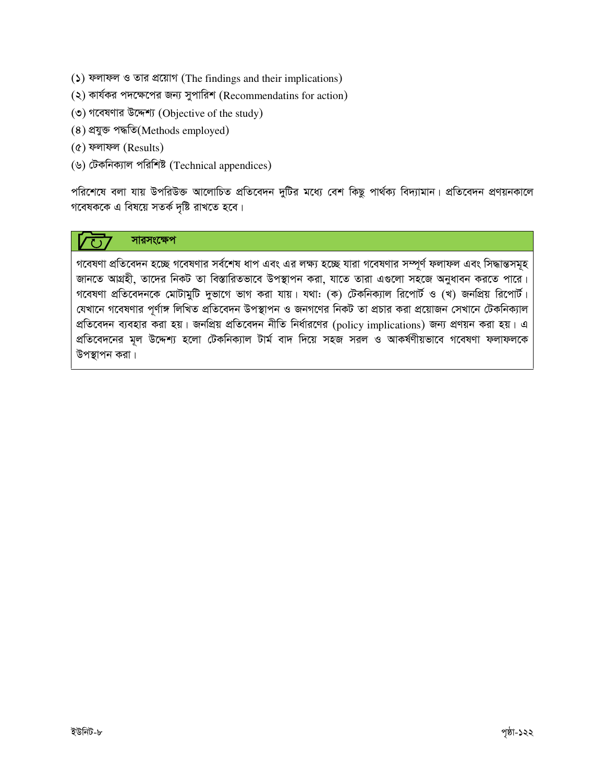- (5) ফলাফল ও তার প্রয়োগ (The findings and their implications)
- (২) কার্যকর পদক্ষেপের জন্য সুপারিশ (Recommendatins for action)
- (৩) গবেষণার উদ্দেশ্য (Objective of the study)
- (8) প্ৰযুক্ত পদ্ধতি(Methods employed)
- $($ ৫) ফলাফল (Results)
- (৬) টেকনিক্যাল পরিশিষ্ট (Technical appendices)

পরিশেষে বলা যায় উপরিউক্ত আলোচিত প্রতিবেদন দুটির মধ্যে বেশ কিছু পার্থক্য বিদ্যামান। প্রতিবেদন প্রণয়নকালে গবেষককে এ বিষয়ে সতর্ক দৃষ্টি রাখতে হবে।

### সারসংক্ষেপ

গবেষণা প্রতিবেদন হচ্ছে গবেষণার সর্বশেষ ধাপ এবং এর লক্ষ্য হচ্ছে যারা গবেষণার সম্পূর্ণ ফলাফল এবং সিদ্ধান্তসমূহ জানতে আগ্রহী, তাদের নিকট তা বিস্তারিতভাবে উপস্থাপন করা, যাতে তারা এগুলো সহজে অনুধাবন করতে পারে। গবেষণা প্রতিবেদনকে মোটামুটি দুভাগে ভাগ করা যায়। যথা: (ক) টেকনিক্যাল রিপোর্ট ও (খ) জনপ্রিয় রিপোর্ট। যেখানে গবেষণার পূর্ণাঙ্গ লিখিত প্রতিবেদন উপস্থাপন ও জনগণের নিকট তা প্রচার করা প্রয়োজন সেখানে টেকনিক্যাল প্রতিবেদন ব্যবহার করা হয়। জনপ্রিয় প্রতিবেদন নীতি নির্ধারণের (policy implications) জন্য প্রণয়ন করা হয়। এ প্রতিবেদনের মূল উদ্দেশ্য হলো টেকনিক্যাল টার্ম বাদ দিয়ে সহজ সরল ও আকর্ষণীয়ভাবে গবেষণা ফলাফলকে উপস্থাপন করা।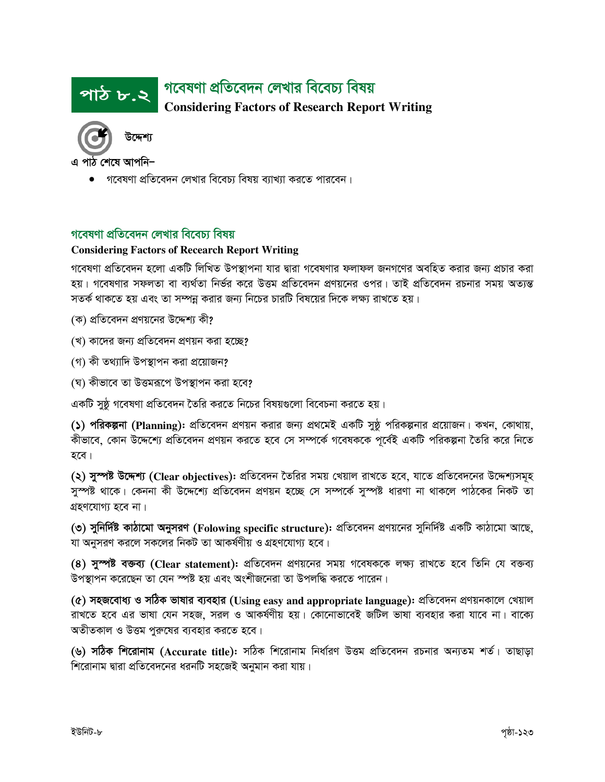#### গবেষণা প্রতিবেদন লেখার বিবেচ্য বিষয় পাঠ ৮.২ **Considering Factors of Research Report Writing**



এ পাঠ শেষে আপনি–

গবেষণা প্রতিবেদন লেখার বিবেচ্য বিষয় ব্যাখ্যা করতে পারবেন।

#### গবেষণা প্রতিবেদন লেখার বিবেচ্য বিষয়

#### **Considering Factors of Recearch Report Writing**

গবেষণা প্রতিবেদন হলো একটি লিখিত উপস্থাপনা যার দ্বারা গবেষণার ফলাফল জনগণের অবহিত করার জন্য প্রচার করা হয়। গবেষণার সফলতা বা ব্যর্থতা নির্ভর করে উত্তম প্রতিবেদন প্রণয়নের ওপর। তাই প্রতিবেদন রচনার সময় অত্যন্ত সতর্ক থাকতে হয় এবং তা সম্পন্ন করার জন্য নিচের চারটি বিষয়ের দিকে লক্ষ্য রাখতে হয়।

- (ক) প্রতিবেদন প্রণয়নের উদ্দেশ্য কী?
- (খ) কাদের জন্য প্রতিবেদন প্রণয়ন করা হচ্ছে?
- (গ) কী তথ্যাদি উপস্থাপন করা প্রয়োজন?
- (ঘ) কীভাবে তা উত্তমরূপে উপস্থাপন করা হবে?

একটি সুষ্ঠ গবেষণা প্রতিবেদন তৈরি করতে নিচের বিষয়গুলো বিবেচনা করতে হয়।

(১) পরিকল্পনা (Planning): প্রতিবেদন প্রণয়ন করার জন্য প্রথমেই একটি সুষ্ঠ পরিকল্পনার প্রয়োজন। কখন, কোথায়, কীভাবে, কোন উদ্দেশ্যে প্রতিবেদন প্রণয়ন করতে হবে সে সম্পর্কে গবেষককে পূর্বেই একটি পরিকল্পনা তৈরি করে নিতে হবে।

(২) সুস্পষ্ট উদ্দেশ্য (Clear objectives): প্রতিবেদন তৈরির সময় খেয়াল রাখতে হবে, যাতে প্রতিবেদনের উদ্দেশ্যসমূহ সম্পষ্ট থাকে। কেননা কী উদ্দেশ্যে প্রতিবেদন প্রণয়ন হচ্ছে সে সম্পর্কে সম্পষ্ট ধারণা না থাকলে পাঠকের নিকট তা গ্ৰহণযোগ্য হবে না।

(৩) সুনির্দিষ্ট কাঠামো অনুসরণ (Folowing specific structure): প্রতিবেদন প্রণয়নের সুনির্দিষ্ট একটি কাঠামো আছে, যা অনুসরণ করলে সকলের নিকট তা আকর্ষণীয় ও গ্রহণযোগ্য হবে।

(8) সুস্পষ্ট বক্তব্য (Clear statement): প্রতিবেদন প্রণয়নের সময় গবেষককে লক্ষ্য রাখতে হবে তিনি যে বক্তব্য উপস্থাপন করেছেন তা যেন স্পষ্ট হয় এবং অংশীজনেরা তা উপলদ্ধি করতে পারেন।

(৫) সহজবোধ্য ও সঠিক ভাষার ব্যবহার (Using easy and appropriate language): প্রতিবেদন প্রণয়নকালে খেয়াল রাখতে হবে এর ভাষা যেন সহজ, সরল ও আকর্ষণীয় হয়। কোনোভাবেই জটিল ভাষা ব্যবহার করা যাবে না। বাক্যে অতীতকাল ও উত্তম পুরুষের ব্যবহার করতে হবে।

(৬) সঠিক শিরোনাম (Accurate title): সঠিক শিরোনাম নির্ধারণ উত্তম প্রতিবেদন রচনার অন্যতম শর্ত। তাছাড়া শিরোনাম দ্বারা প্রতিবেদনের ধরনটি সহজেই অনুমান করা যায়।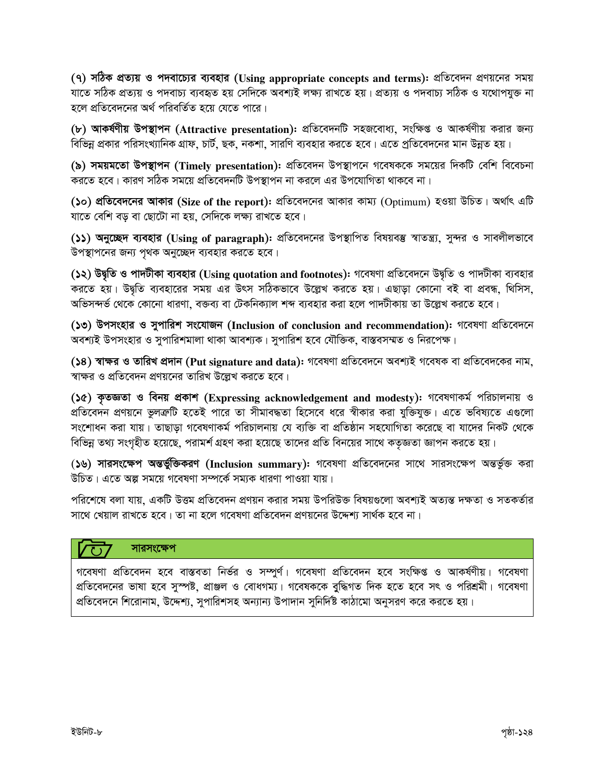(৭) সঠিক প্রত্যয় ও পদবাচ্যের ব্যবহার (Using appropriate concepts and terms): প্রতিবেদন প্রণয়নের সময় যাতে সঠিক প্ৰত্যয় ও পদবাচ্য ব্যবহৃত হয় সেদিকে অবশ্যই লক্ষ্য রাখতে হয়। প্ৰত্যয় ও পদবাচ্য সঠিক ও যথোপযুক্ত না হলে প্রতিবেদনের অর্থ পরিবর্তিত হয়ে যেতে পারে।

(৮) আকর্ষণীয় উপস্থাপন (Attractive presentation): প্রতিবেদনটি সহজবোধ্য, সংক্ষিপ্ত ও আকর্ষণীয় করার জন্য বিভিন্ন প্রকার পরিসংখ্যানিক গ্রাফ, চার্ট, ছক, নকশা, সারণি ব্যবহার করতে হবে। এতে প্রতিবেদনের মান উন্নত হয়।

(৯) সময়মতো উপস্থাপন (Timely presentation): প্রতিবেদন উপস্থাপনে গবেষককে সময়ের দিকটি বেশি বিবেচনা করতে হবে। কারণ সঠিক সময়ে প্রতিবেদনটি উপস্থাপন না করলে এর উপযোগিতা থাকবে না।

(১০) প্রতিবেদনের আকার (Size of the report): প্রতিবেদনের আকার কাম্য (Optimum) হওয়া উচিত। অর্থাৎ এটি যাতে বেশি বড় বা ছোটো না হয়, সেদিকে লক্ষ্য রাখতে হবে।

(১১) অনুচ্ছেদ ব্যবহার (Using of paragraph): প্রতিবেদনের উপস্থাপিত বিষয়বস্তু স্বাতন্ত্র্য, সুন্দর ও সাবলীলভাবে উপস্থাপনের জন্য পৃথক অনুচ্ছেদ ব্যবহার করতে হবে।

(১২) উদ্বৃতি ও পাদটীকা ব্যবহার (Using quotation and footnotes): গবেষণা প্রতিবেদনে উদ্বৃতি ও পাদটীকা ব্যবহার করতে হয়। উদ্বৃতি ব্যবহারের সময় এর উৎস সঠিকভাবে উল্লেখ করতে হয়। এছাড়া কোনো বই বা প্রবন্ধ, থিসিস, অভিসন্দর্ভ থেকে কোনো ধারণা, বক্তব্য বা টেকনিক্যাল শব্দ ব্যবহার করা হলে পাদটীকায় তা উল্লেখ করতে হবে।

(১৩) উপসংহার ও সুপারিশ সংযোজন (Inclusion of conclusion and recommendation): গবেষণা প্রতিবেদনে অবশ্যই উপসংহার ও সুপারিশমালা থাকা আবশ্যক। সুপারিশ হবে যৌক্তিক, বাস্তবসম্মত ও নিরপেক্ষ।

(১৪) স্বাক্ষর ও তারিখ প্রদান (Put signature and data): গবেষণা প্রতিবেদনে অবশ্যই গবেষক বা প্রতিবেদকের নাম, স্বাক্ষর ও প্রতিবেদন প্রণয়নের তারিখ উল্লেখ করতে হবে।

(১৫) কৃতজ্ঞতা ও বিনয় প্রকাশ (Expressing acknowledgement and modesty): গবেষণাকর্ম পরিচালনায় ও প্রতিবেদন প্রণয়নে ভুলক্রটি হতেই পারে তা সীমাবদ্ধতা হিসেবে ধরে স্বীকার করা যুক্তিযুক্ত। এতে ভবিষ্যতে এগুলো সংশোধন করা যায়। তাছাড়া গবেষণাকর্ম পরিচালনায় যে ব্যক্তি বা প্রতিষ্ঠান সহযোগিতা করেছে বা যাদের নিকট থেকে বিভিন্ন তথ্য সংগৃহীত হয়েছে, পরামর্শ গ্রহণ করা হয়েছে তাদের প্রতি বিনয়ের সাথে কতৃজ্ঞতা জ্ঞাপন করতে হয়।

(১৬) সারসংক্ষেপ অন্তর্ভুক্তিকরণ (Inclusion summary): গবেষণা প্রতিবেদনের সাথে সারসংক্ষেপ অন্তর্ভুক্ত করা উচিত। এতে অল্প সময়ে গবেষণা সম্পর্কে সম্যক ধারণা পাওয়া যায়।

পরিশেষে বলা যায়, একটি উত্তম প্রতিবেদন প্রণয়ন করার সময় উপরিউক্ত বিষয়গুলো অবশ্যই অত্যন্ত দক্ষতা ও সতকর্তার সাথে খেয়াল রাখতে হবে। তা না হলে গবেষণা প্রতিবেদন প্রণয়নের উদ্দেশ্য সার্থক হবে না।

#### সারসংক্ষেপ  $\sqrt{1}$

গবেষণা প্রতিবেদন হবে বাস্তবতা নির্ভর ও সম্পুর্ণ। গবেষণা প্রতিবেদন হবে সংক্ষিপ্ত ও আকর্ষণীয়। গবেষণা প্রতিবেদনের ভাষা হবে সুস্পষ্ট, প্রাঞ্জল ও বোধগম্য। গবেষককে বুদ্ধিগত দিক হতে হবে সৎ ও পরিশ্রমী। গবেষণা প্রতিবেদনে শিরোনাম. উদ্দেশ্য, সুপারিশসহ অন্যান্য উপাদান সুনির্দিষ্ট কাঠামো অনুসরণ করে করতে হয়।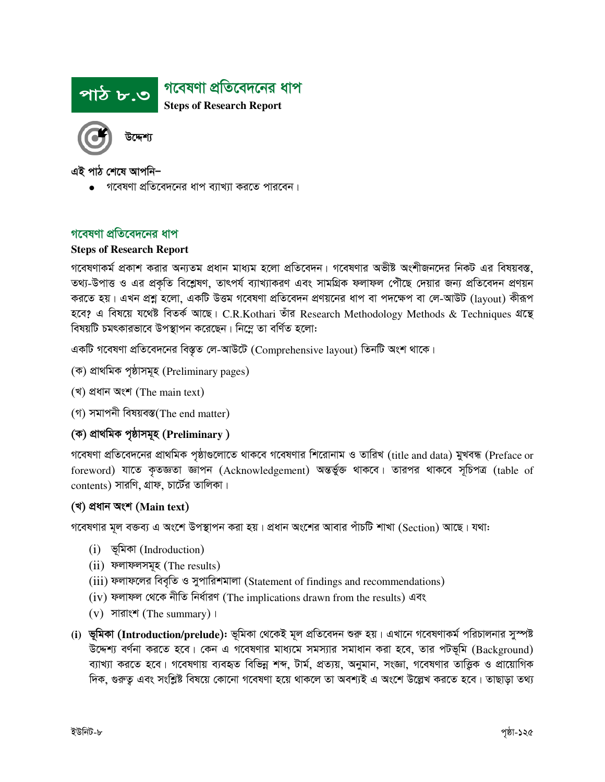

এই পাঠ শেষে আপনি–

• গবেষণা প্রতিবেদনের ধাপ ব্যাখ্যা করতে পারবেন।

#### গবেষণা প্রতিবেদনের ধাপ

#### **Steps of Research Report**

গবেষণাকর্ম প্রকাশ করার অন্যতম প্রধান মাধ্যম হলো প্রতিবেদন। গবেষণার অভীষ্ট অংশীজনদের নিকট এর বিষয়বস্ত, তথ্য-উপাত্ত ও এর প্রকৃতি বিশ্লেষণ, তাৎপর্য ব্যাখ্যাকরণ এবং সামগ্রিক ফলাফল পৌঁছে দেয়ার জন্য প্রতিবেদন প্রণয়ন করতে হয়। এখন প্রশ্ন হলো, একটি উত্তম গবেষণা প্রতিবেদন প্রণয়নের ধাপ বা পদক্ষেপ বা লে-আউট (layout) কীরূপ হবে? এ বিষয়ে যথেষ্ট বিতর্ক আছে। C.R.Kothari তাঁর Research Methodology Methods & Techniques গ্রন্থে বিষয়টি চমৎকারভাবে উপস্থাপন করেছেন। নিম্লে তা বর্ণিত হলো:

একটি গবেষণা প্রতিবেদনের বিস্তৃত লে-আউটে (Comprehensive layout) তিনটি অংশ থাকে।

- (ক) প্ৰাথমিক পৃষ্ঠাসমূহ (Preliminary pages)
- (খ) প্ৰধান অংশ (The main text)
- (গ) সমাপনী বিষয়বস্ত(The end matter)

#### (ক) প্ৰাথমিক পৃষ্ঠাসমূহ (Preliminary)

গবেষণা প্রতিবেদনের প্রাথমিক পৃষ্ঠাগুলোতে থাকবে গবেষণার শিরোনাম ও তারিখ (title and data) মুখবন্ধ (Preface or foreword) যাতে কৃতজ্ঞতা জ্ঞাপন (Acknowledgement) অন্তৰ্ভুক্ত থাকবে। তারপর থাকবে সূচিপত্র (table of contents) সারণি, গ্রাফ, চার্টের তালিকা।

#### (খ) প্ৰধান অংশ (Main text)

গবেষণার মূল বক্তব্য এ অংশে উপস্থাপন করা হয়। প্রধান অংশের আবার পাঁচটি শাখা (Section) আছে। যথা:

- (i) ভূমিকা (Indroduction)
- (ii) ফলাফলসমূহ (The results)
- (iii) ফলাফলের বিবৃতি ও সুপারিশমালা (Statement of findings and recommendations)
- (iv) ফলাফল থেকে নীতি নিৰ্ধাৱণ (The implications drawn from the results) এবং
- $(v)$  সারাংশ (The summary) ।
- (i) ভূমিকা (Introduction/prelude): ভূমিকা থেকেই মূল প্রতিবেদন শুরু হয়। এখানে গবেষণাকর্ম পরিচালনার সুস্পষ্ট উদ্দেশ্য বর্ণনা করতে হবে। কেন এ গবেষণার মাধ্যমে সমস্যার সমাধান করা হবে, তার পটভূমি (Background) ব্যাখ্যা করতে হবে। গবেষণায় ব্যবহৃত বিভিন্ন শব্দ, টার্ম, প্রত্যয়, অনুমান, সংজ্ঞা, গবেষণার তাত্তিক ও প্রায়োগিক দিক, গুরুতু এবং সংশ্লিষ্ট বিষয়ে কোনো গবেষণা হয়ে থাকলে তা অবশ্যই এ অংশে উল্লেখ করতে হবে। তাছাড়া তথ্য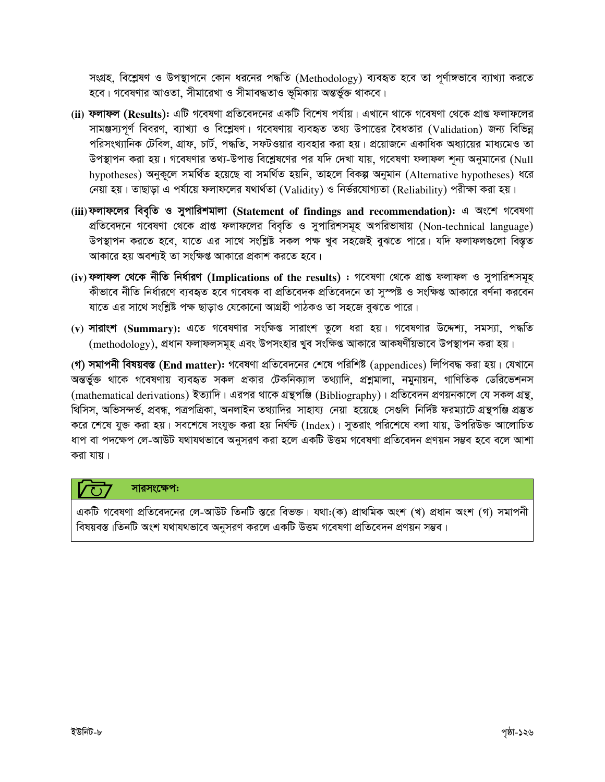সংগ্রহ, বিশ্লেষণ ও উপস্থাপনে কোন ধরনের পদ্ধতি (Methodology) ব্যবহৃত হবে তা পূর্ণাঙ্গভাবে ব্যাখ্যা করতে হবে। গবেষণার আওতা, সীমারেখা ও সীমাবদ্ধতাও ভূমিকায় অন্তর্ভুক্ত থাকবে।

- (ii) ফলাফল (Results): এটি গবেষণা প্রতিবেদনের একটি বিশেষ পর্যায়। এখানে থাকে গবেষণা থেকে প্রাপ্ত ফলাফলের সামঞ্জস্যপূর্ণ বিবরণ, ব্যাখ্যা ও বিশ্লেষণ। গবেষণায় ব্যবহৃত তথ্য উপাত্তের বৈধতার (Validation) জন্য বিভিন্ন পরিসংখ্যানিক টেবিল, গ্রাফ, চার্ট, পদ্ধতি, সফটওয়ার ব্যবহার করা হয়। প্রয়োজনে একাধিক অধ্যায়ের মাধ্যমেও তা উপস্থাপন করা হয়। গবেষণার তথ্য-উপাত্ত বিশ্লেষণের পর যদি দেখা যায়, গবেষণা ফলাফল শূন্য অনুমানের (Null hvpotheses) অনুকলে সমর্থিত হয়েছে বা সমর্থিত হয়নি, তাহলে বিকল্প অনুমান (Alternative hypotheses) ধরে নেয়া হয়। তাছাড়া এ পর্যায়ে ফলাফলের যথার্থতা (Validity) ও নির্ভরযোগ্যতা (Reliability) পরীক্ষা করা হয়।
- (iii) ফলাফলের বিবৃতি ও সুপারিশমালা (Statement of findings and recommendation): এ অংশে গবেষণা প্রতিবেদনে গবেষণা থেকে প্রাপ্ত ফলাফলের বিবৃতি ও সুপারিশসমূহ অপরিভাষায় (Non-technical language) উপস্থাপন করতে হবে, যাতে এর সাথে সংশ্লিষ্ট সকল পক্ষ খুব সহজেই বুঝতে পারে। যদি ফলাফলগুলো বিস্তৃত আকারে হয় অবশ্যই তা সংক্ষিপ্ত আকারে প্রকাশ করতে হবে।
- (iv) ফলাফল থেকে নীতি নিৰ্ধারণ (Implications of the results) : গবেষণা থেকে প্রাপ্ত ফলাফল ও সুপারিশসমূহ কীভাবে নীতি নির্ধারণে ব্যবহৃত হবে গবেষক বা প্রতিবেদক প্রতিবেদনে তা সুস্পষ্ট ও সংক্ষিপ্ত আকারে বর্ণনা করবেন যাতে এর সাথে সংশ্লিষ্ট পক্ষ ছাড়াও যেকোনো আগ্রহী পাঠকও তা সহজে বুঝতে পারে।
- (v) **সারাংশ** (Summary): এতে গবেষণার সংক্ষিপ্ত সারাংশ তুলে ধরা হয়। গবেষণার উদ্দেশ্য, সমস্যা, পদ্ধতি (methodology), প্রধান ফলাফলসমূহ এবং উপসংহার খুব সংক্ষিপ্ত আকারে আকষর্ণীয়ভাবে উপস্থাপন করা হয়।

(গ) সমাপনী বিষয়বস্ত (End matter): গবেষণা প্রতিবেদনের শেষে পরিশিষ্ট (appendices) লিপিবদ্ধ করা হয়। যেখানে অন্তৰ্ভুক্ত থাকে গবেষণায় ব্যবহৃত সকল প্ৰকার টেকনিক্যাল তথ্যাদি, প্রশ্নমালা, নমুনায়ন, গাণিতিক ডেরিভেশনস (mathematical derivations) ইত্যাদি। এরপর থাকে গ্রন্থপঞ্জি (Bibliography)। প্রতিবেদন প্রণয়নকালে যে সকল গ্রন্থ, থিসিস, অভিসন্দৰ্ভ, প্ৰবন্ধ, পত্ৰপত্ৰিকা, অনলাইন তথ্যাদির সাহায্য নেয়া হয়েছে সেগুলি নিৰ্দিষ্ট ফরম্যাটে গ্ৰন্থপঞ্জি প্ৰস্তুত করে শেষে যুক্ত করা হয়। সবশেষে সংযুক্ত করা হয় নির্ঘন্ট (Index)। সুতরাং পরিশেষে বলা যায়, উপরিউক্ত আলোচিত ধাপ বা পদক্ষেপ লে-আউট যথাযথভাবে অনুসরণ করা হলে একটি উত্তম গবেষণা প্রতিবেদন প্রণয়ন সম্ভব হবে বলে আশা করা যায়।

### সারসংক্ষেপ:

একটি গবেষণা প্রতিবেদনের লে-আউট তিনটি স্তরে বিভক্ত। যথা:(ক) প্রাথমিক অংশ (খ) প্রধান অংশ (গ) সমাপনী বিষয়বস্ত ।তিনটি অংশ যথাযথভাবে অনুসরণ করলে একটি উত্তম গবেষণা প্রতিবেদন প্রণয়ন সম্ভব।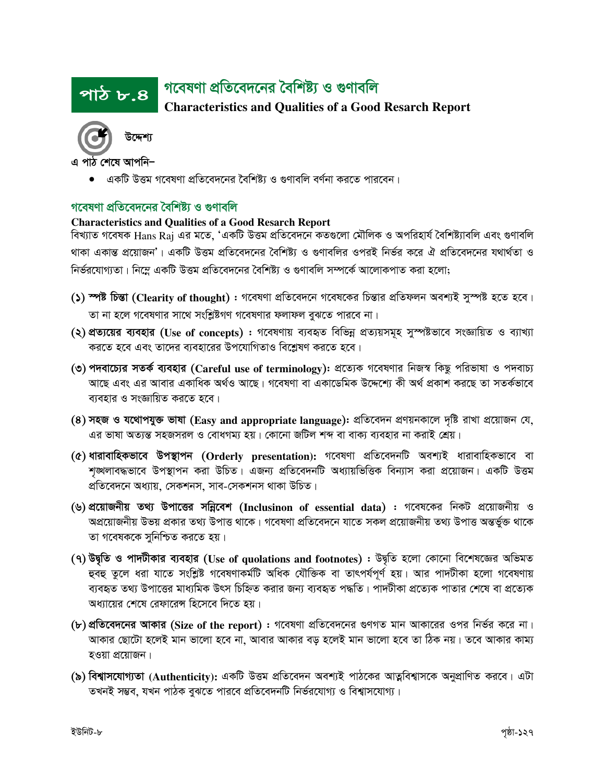#### গবেষণা প্রতিবেদনের বৈশিষ্ট্য ও গুণাবলি <u>পাঠ ৮.৪ </u>

**Characteristics and Qualities of a Good Resarch Report** 



এ পাঠ শেষে আপনি–

একটি উত্তম গবেষণা প্রতিবেদনের বৈশিষ্ট্য ও গুণাবলি বর্ণনা করতে পারবেন।

## গবেষণা প্রতিবেদনের বৈশিষ্ট্য ও গুণাবলি

#### **Characteristics and Qualities of a Good Resarch Report**

বিখ্যাত গবেষক Hans Raj এর মতে, 'একটি উত্তম প্রতিবেদনে কতগুলো মৌলিক ও অপরিহার্য বৈশিষ্ট্যাবলি এবং গুণাবলি থাকা একান্ত প্রয়োজন'। একটি উত্তম প্রতিবেদনের বৈশিষ্ট্য ও গুণাবলির ওপরই নির্ভর করে ঐ প্রতিবেদনের যথার্থতা ও নির্ভরযোগ্যতা। নিম্নে একটি উত্তম প্রতিবেদনের বৈশিষ্ট্য ও গুণাবলি সম্পর্কে আলোকপাত করা হলো;

- (১) স্পষ্ট চিন্তা (Clearity of thought) : গবেষণা প্রতিবেদনে গবেষকের চিন্তার প্রতিফলন অবশ্যই সুস্পষ্ট হতে হবে। তা না হলে গবেষণার সাথে সংশ্লিষ্টগণ গবেষণার ফলাফল বুঝতে পারবে না।
- (২) প্রত্যয়ের ব্যবহার (Use of concepts) : গবেষণায় ব্যবহৃত বিভিন্ন প্রত্যয়সমূহ সুস্পষ্টভাবে সংজ্ঞায়িত ও ব্যাখ্যা করতে হবে এবং তাদের ব্যবহারের উপযোগিতাও বিশ্লেষণ করতে হবে।
- (৩) পদবাচ্যের সতর্ক ব্যবহার (Careful use of terminology): প্রত্যেক গবেষণার নিজস্ব কিছু পরিভাষা ও পদবাচ্য আছে এবং এর আবার একাধিক অর্থও আছে। গবেষণা বা একাডেমিক উদ্দেশ্যে কী অর্থ প্রকাশ করছে তা সতর্কভাবে ব্যবহার ও সংজ্ঞায়িত করতে হবে।
- $(8)$  সহজ ও যথোপযুক্ত ভাষা (Easy and appropriate language): প্রতিবেদন প্রণয়নকালে দৃষ্টি রাখা প্রয়োজন যে, এর ভাষা অত্যন্ত সহজসরল ও বোধগম্য হয়। কোনো জটিল শব্দ বা বাক্য ব্যবহার না করাই শ্রেয়।
- (৫) ধারাবাহিকভাবে উপস্থাপন (Orderly presentation): গবেষণা প্রতিবেদনটি অবশ্যই ধারাবাহিকভাবে বা শঙ্ঘলাবদ্ধভাবে উপস্থাপন করা উচিত। এজন্য প্রতিবেদনটি অধ্যায়ভিত্তিক বিন্যাস করা প্রয়োজন। একটি উত্তম প্ৰতিবেদনে অধ্যায়, সেকশনস, সাব-সেকশনস থাকা উচিত।
- (৬) প্রয়োজনীয় তথ্য উপাত্তের সন্নিবেশ (Inclusinon of essential data) : গবেষকের নিকট প্রয়োজনীয় ও অপ্রয়োজনীয় উভয় প্রকার তথ্য উপাত্ত থাকে। গবেষণা প্রতিবেদনে যাতে সকল প্রয়োজনীয় তথ্য উপাত্ত অন্তর্ভুক্ত থাকে তা গবেষককে সুনিশ্চিত করতে হয়।
- (৭) উদ্বৃতি ও পাদটীকার ব্যবহার (Use of quolations and footnotes) : উদ্বৃতি হলো কোনো বিশেষজ্ঞের অভিমত হুবহু তুলে ধরা যাতে সংশ্লিষ্ট গবেষণাকর্মটি অধিক যৌক্তিক বা তাৎপর্যপূর্ণ হয়। আর পাদটীকা হলো গবেষণায় ব্যবহৃত তথ্য উপাত্তের মাধ্যমিক উৎস চিহ্নিত করার জন্য ব্যবহৃত পদ্ধতি। পাদটীকা প্রত্যেক পাতার শেষে বা প্রত্যেক অধ্যায়ের শেষে রেফারেন্স হিসেবে দিতে হয়।
- (৮) প্রতিবেদনের আকার (Size of the report) : গবেষণা প্রতিবেদনের গুণগত মান আকারের ওপর নির্ভর করে না। আকার ছোটো হলেই মান ভালো হবে না, আবার আকার বড় হলেই মান ভালো হবে তা ঠিক নয়। তবে আকার কাম্য হওয়া প্রয়োজন।
- (৯) বিশ্বাসযোগ্যতা (Authenticity): একটি উত্তম প্রতিবেদন অবশ্যই পাঠকের আত্নবিশ্বাসকে অনুপ্রাণিত করবে। এটা তখনই সম্ভব, যখন পাঠক বুঝতে পারবে প্রতিবেদনটি নির্ভরযোগ্য ও বিশ্বাসযোগ্য।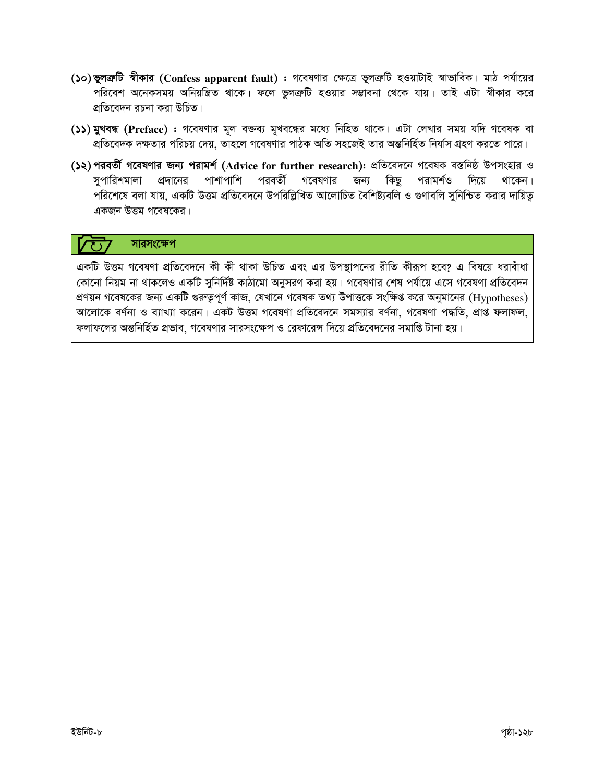- (১০) ভুলক্রটি স্বীকার (Confess apparent fault) : গবেষণার ক্ষেত্রে ভুলক্রটি হওয়াটাই স্বাভাবিক। মাঠ পর্যায়ের ্ন<br>পরিবেশ অনেকসময় অনিয়ন্ত্রিত থাকে। ফলে ভুলক্রটি হওয়ার সম্ভাবনা থেকে যায়। তাই এটা স্বীকার করে প্রতিবেদন রচনা করা উচিত।
- (১১) মুখবন্ধ (Preface) : গবেষণার মূল বক্তব্য মূখবন্ধের মধ্যে নিহিত থাকে। এটা লেখার সময় যদি গবেষক বা প্রতিবেদক দক্ষতার পরিচয় দেয়, তাহলে গবেষণার পাঠক অতি সহজেই তার অন্তনির্হিত নির্যাস গ্রহণ করতে পারে।
- (১২)পরবর্তী গবেষণার জন্য পরামর্শ (Advice for further research): প্রতিবেদনে গবেষক বস্তনিষ্ঠ উপসংহার ও সপারিশমালা প্রদানের পাশাপাশি পরবর্তী গবেষণার জন্য কিছু পরামর্শও দিয়ে থাকেন। পরিশেষে বলা যায়, একটি উত্তম প্রতিবেদনে উপরিল্লিখিত আলোচিত বৈশিষ্ট্যবলি ও গুণাবলি সুনিশ্চিত করার দায়িতু একজন উত্তম গবেষকের।

#### সারসংক্ষেপ  $\sqrt{37}$

একটি উত্তম গবেষণা প্রতিবেদনে কী কী থাকা উচিত এবং এর উপস্থাপনের রীতি কীরূপ হবে? এ বিষয়ে ধরাবাঁধা কোনো নিয়ম না থাকলেও একটি সুনির্দিষ্ট কাঠামো অনুসরণ করা হয়। গবেষণার শেষ পর্যায়ে এসে গবেষণা প্রতিবেদন প্রণয়ন গবেষকের জন্য একটি গুরুত্বপূর্ণ কাজ, যেখানে গবেষক তথ্য উপাত্তকে সংক্ষিপ্ত করে অনুমানের (Hypotheses) আলোকে বর্ণনা ও ব্যাখ্যা করেন। একট উত্তম গবেষণা প্রতিবেদনে সমস্যার বর্ণনা, গবেষণা পদ্ধতি, প্রাপ্ত ফলাফল, ফলাফলের অন্তনির্হিত প্রভাব, গবেষণার সারসংক্ষেপ ও রেফারেন্স দিয়ে প্রতিবেদনের সমাপ্তি টানা হয়।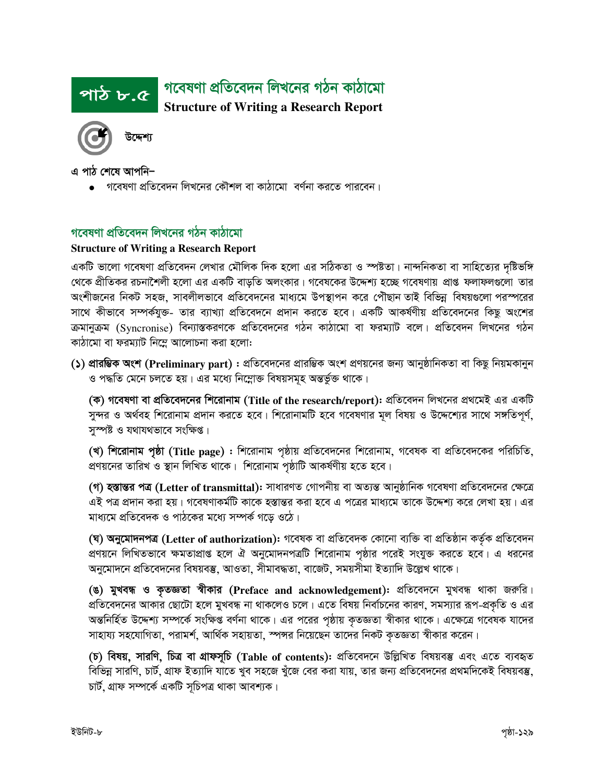#### গবেষণা প্ৰতিবেদন লিখনের গঠন কাঠামো পাঠ ৮.৫ **Structure of Writing a Research Report**



এ পাঠ শেষে আপনি–

গবেষণা প্রতিবেদন লিখনের কৌশল বা কাঠামো বর্ণনা করতে পারবেন।

### গবেষণা প্ৰতিবেদন লিখনের গঠন কাঠামো

#### **Structure of Writing a Research Report**

একটি ভালো গবেষণা প্রতিবেদন লেখার মৌলিক দিক হলো এর সঠিকতা ও স্পষ্টতা। নান্দনিকতা বা সাহিত্যের দৃষ্টিভঙ্গি থেকে প্রীতিকর রচনাশৈলী হলো এর একটি বাড়তি অলংকার। গবেষকের উদ্দেশ্য হচ্ছে গবেষণায় প্রাপ্ত ফলাফলগুলো তার অংশীজনের নিকট সহজ, সাবলীলভাবে প্রতিবেদনের মাধ্যমে উপস্থাপন করে পৌঁছান তাই বিভিন্ন বিষয়গুলো পরস্পরের সাথে কীভাবে সম্পর্কযুক্ত- তার ব্যাখ্যা প্রতিবেদনে প্রদান করতে হবে। একটি আকর্ষণীয় প্রতিবেদনের কিছু অংশের ক্রমানুক্রম (Syncronise) বিন্যাস্তকরণকে প্রতিবেদনের গঠন কাঠামো বা ফরম্যাট বলে। প্রতিবেদন লিখনের গঠন কাঠামো বা ফরম্যাট নিম্নে আলোচনা করা হলো:

(১) প্রারম্ভিক অংশ (Preliminary part) : প্রতিবেদনের প্রারম্ভিক অংশ প্রণয়নের জন্য আনুষ্ঠানিকতা বা কিছু নিয়মকানুন ও পদ্ধতি মেনে চলতে হয়। এর মধ্যে নিম্নোক্ত বিষয়সমূহ অন্তর্ভুক্ত থাকে।

(ক) গবেষণা বা প্রতিবেদনের শিরোনাম (Title of the research/report): প্রতিবেদন লিখনের প্রথমেই এর একটি সুন্দর ও অর্থবহ শিরোনাম প্রদান করতে হবে। শিরোনামটি হবে গবেষণার মূল বিষয় ও উদ্দেশ্যের সাথে সঙ্গতিপূর্ণ, সম্পষ্ট ও যথাযথভাবে সংক্ষিপ্ত।

(খ) শিরোনাম পৃষ্ঠা (Title page) : শিরোনাম পৃষ্ঠায় প্রতিবেদনের শিরোনাম, গবেষক বা প্রতিবেদকের পরিচিতি, প্রণয়নের তারিখ ও স্থান লিখিত থাকে। শিরোনাম পৃষ্ঠাটি আকর্ষণীয় হতে হবে।

(গ) হস্তান্তর পত্র (Letter of transmittal): সাধারণত গোপনীয় বা অত্যন্ত আনুষ্ঠানিক গবেষণা প্রতিবেদনের ক্ষেত্রে এই পত্র প্রদান করা হয়। গবেষণাকর্মটি কাকে হস্তান্তর করা হবে এ পত্রের মাধ্যমে তাকে উদ্দেশ্য করে লেখা হয়। এর মাধ্যমে প্রতিবেদক ও পাঠকের মধ্যে সম্পর্ক গড়ে ওঠে।

(ঘ) অনুমোদনপত্র (Letter of authorization): গবেষক বা প্রতিবেদক কোনো ব্যক্তি বা প্রতিষ্ঠান কর্তৃক প্রতিবেদন প্রণয়নে লিখিতভাবে ক্ষমতাপ্রাপ্ত হলে ঐ অনুমোদনপত্রটি শিরোনাম পৃষ্ঠার পরেই সংযুক্ত করতে হবে। এ ধরনের অনুমোদনে প্রতিবেদনের বিষয়বস্তু, আওতা, সীমাবদ্ধতা, বাজেট, সময়সীমা ইত্যাদি উল্লেখ থাকে।

(ঙ) মুখবন্ধ ও কৃতজ্ঞতা স্বীকার (Preface and acknowledgement): প্রতিবেদনে মুখবন্ধ থাকা জরুরি। প্রতিবেদনের আকার ছোটো হলে মুখবন্ধ না থাকলেও চলে। এতে বিষয় নির্বাচনের কারণ, সমস্যার রূপ-প্রকৃতি ও এর অন্তনির্হিত উদ্দেশ্য সম্পর্কে সংক্ষিপ্ত বর্ণনা থাকে। এর পরের পৃষ্ঠায় কৃতজ্ঞতা স্বীকার থাকে। এক্ষেত্রে গবেষক যাদের সাহায্য সহযোগিতা, পরামর্শ, আর্থিক সহায়তা, স্পন্সর নিয়েছেন তাদের নিকট কৃতজ্ঞতা স্বীকার করেন।

(চ) বিষয়, সারণি, চিত্র বা গ্রাফসূচি (Table of contents): প্রতিবেদনে উল্লিখিত বিষয়বস্তু এবং এতে ব্যবহৃত বিভিন্ন সারণি, চার্ট, গ্রাফ ইত্যাদি যাতে খুব সহজে খুঁজে বের করা যায়, তার জন্য প্রতিবেদনের প্রথমদিকেই বিষয়বস্তু, চাৰ্ট, গ্ৰাফ সম্পৰ্কে একটি সূচিপত্ৰ থাকা আবশ্যক।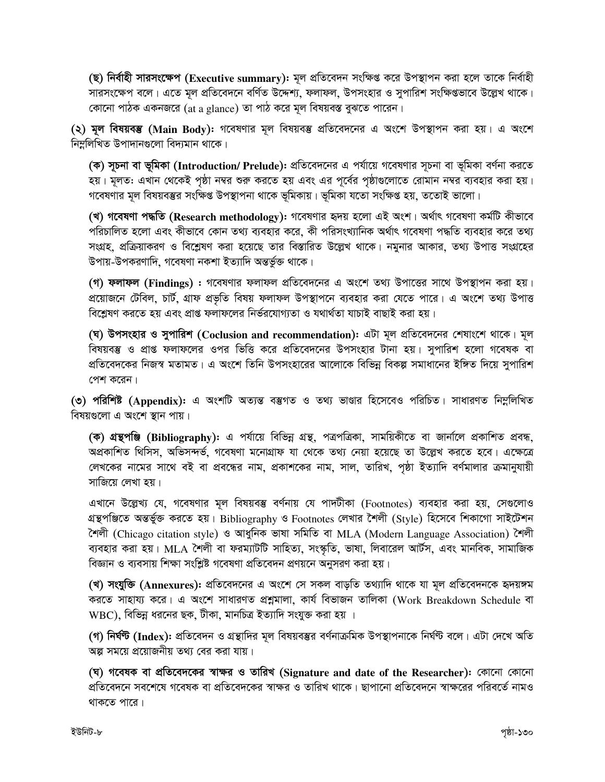(ছ) নিৰ্বাহী সারসংক্ষেপ (Executive summary): মূল প্রতিবেদন সংক্ষিপ্ত করে উপস্থাপন করা হলে তাকে নির্বাহী সারসংক্ষেপ বলে। এতে মূল প্রতিবেদনে বর্ণিত উদ্দেশ্য, ফলাফল, উপসংহার ও সুপারিশ সংক্ষিপ্তভাবে উল্লেখ থাকে। কোনো পাঠক একনজরে (at a glance) তা পাঠ করে মূল বিষয়বস্ত বুঝতে পারেন।

(২) মূল বিষয়বম্ভ (Main Body): গবেষণার মূল বিষয়বম্ভ প্রতিবেদনের এ অংশে উপস্থাপন করা হয়। এ অংশে নিম্ললিখিত উপাদানগুলো বিদ্যমান থাকে।

(ক) সূচনা বা ভূমিকা (Introduction/ Prelude): প্রতিবেদনের এ পর্যায়ে গবেষণার সূচনা বা ভূমিকা বর্ণনা করতে হয়। মূলত: এখান থেকেই পৃষ্ঠা নম্বর শুরু করতে হয় এবং এর পূর্বের পৃষ্ঠাগুলোতে রোমান নম্বর ব্যবহার করা হয়। গবেষণার মূল বিষয়বস্তুর সংক্ষিপ্ত উপস্থাপনা থাকে ভূমিকায়। ভূমিকা যতো সংক্ষিপ্ত হয়, ততোই ভালো।

(খ) গবেষণা পদ্ধতি (Research methodology): গবেষণার হৃদয় হলো এই অংশ। অর্থাৎ গবেষণা কর্মটি কীভাবে পরিচালিত হলো এবং কীভাবে কোন তথ্য ব্যবহার করে, কী পরিসংখ্যানিক অর্থাৎ গবেষণা পদ্ধতি ব্যবহার করে তথ্য সংগ্রহ, প্রক্রিয়াকরণ ও বিশ্লেষণ করা হয়েছে তার বিস্তারিত উল্লেখ থাকে। নমুনার আকার, তথ্য উপাত্ত সংগ্রহের উপায়-উপকরণাদি, গবেষণা নকশা ইত্যাদি অন্তর্ভুক্ত থাকে।

(গ) **ফলাফল (Findings) :** গবেষণার ফলাফল প্রতিবেদনের এ অংশে তথ্য উপাত্তের সাথে উপস্থাপন করা হয়। প্রয়োজনে টেবিল, চার্ট, গ্রাফ প্রভৃতি বিষয় ফলাফল উপস্থাপনে ব্যবহার করা যেতে পারে। এ অংশে তথ্য উপাত্ত বিশ্লেষণ করতে হয় এবং প্রাপ্ত ফলাফলের নির্ভরযোগ্যতা ও যথার্থতা যাচাই বাছাই করা হয়।

(ঘ) উপসংহার ও সুপারিশ (Coclusion and recommendation): এটা মূল প্রতিবেদনের শেষাংশে থাকে। মূল বিষয়বস্তু ও প্রাপ্ত ফলাফলের ওপর ভিত্তি করে প্রতিবেদনের উপসংহার টানা হয়। সুপারিশ হলো গবেষক বা প্রতিবেদকের নিজস্ব মতামত। এ অংশে তিনি উপসংহারের আলোকে বিভিন্ন বিকল্প সমাধানের ইঙ্গিত দিয়ে সুপারিশ পেশ করেন।

(৩) পরিশিষ্ট (Appendix): এ অংশটি অত্যন্ত বম্ভগত ও তথ্য ভাণ্ডার হিসেবেও পরিচিত। সাধারণত নিম্নলিখিত বিষয়গুলো এ অংশে স্থান পায়।

(ক) গ্রন্থপঞ্জি (Bibliography): এ পর্যায়ে বিভিন্ন গ্রন্থ, পত্রপত্রিকা, সাময়িকীতে বা জার্নালে প্রকাশিত প্রবন্ধ, অপ্রকাশিত থিসিস, অভিসন্দর্ভ, গবেষণা মনোগ্রাফ যা থেকে তথ্য নেয়া হয়েছে তা উল্লেখ করতে হবে। এক্ষেত্রে লেখকের নামের সাথে বই বা প্রবন্ধের নাম, প্রকাশকের নাম, সাল, তারিখ, পৃষ্ঠা ইত্যাদি বর্ণমালার ক্রমানুযায়ী সাজিয়ে লেখা হয়।

এখানে উল্লেখ্য যে, গবেষণার মূল বিষয়বস্তু বর্ণনায় যে পাদটীকা (Footnotes) ব্যবহার করা হয়, সেগুলোও গ্রন্থপঞ্জিতে অন্তর্ভুক্ত করতে হয়। Bibliography ও Footnotes লেখার শৈলী (Style) হিসেবে শিকাগো সাইটেশন শৈলী (Chicago citation style) ও আধুনিক ভাষা সমিতি বা MLA (Modern Language Association) শৈলী ব্যবহার করা হয়। MLA শৈলী বা ফরম্যাটটি সাহিত্য, সংস্কৃতি, ভাষা, লিবারেল আর্টস, এবং মানবিক, সামাজিক বিজ্ঞান ও ব্যবসায় শিক্ষা সংশ্লিষ্ট গবেষণা প্রতিবেদন প্রণয়নে অনুসরণ করা হয়।

(খ) সংযুক্তি (Annexures): প্রতিবেদনের এ অংশে সে সকল বাড়তি তথ্যাদি থাকে যা মূল প্রতিবেদনকে হৃদয়ঙ্গম করতে সাহায্য করে। এ অংশে সাধারণত প্রশ্নমালা, কার্য বিভাজন তালিকা (Work Breakdown Schedule বা WBC), বিভিন্ন ধরনের ছক, টীকা, মানচিত্র ইত্যাদি সংযুক্ত করা হয় ।

(গ) **নির্ঘন্ট (Index):** প্রতিবেদন ও গ্রন্থাদির মূল বিষয়বস্তুর বর্ণনাক্রমিক উপস্থাপনাকে নির্ঘন্ট বলে। এটা দেখে অতি অল্প সময়ে প্রয়োজনীয় তথ্য বের করা যায়।

(ঘ) গবেষক বা প্রতিবেদকের স্বাক্ষর ও তারিখ (Signature and date of the Researcher): কোনো কোনো প্রতিবেদনে সবশেষে গবেষক বা প্রতিবেদকের স্বাক্ষর ও তারিখ থাকে। ছাপানো প্রতিবেদনে স্বাক্ষরের পরিবর্তে নামও থাকতে পারে।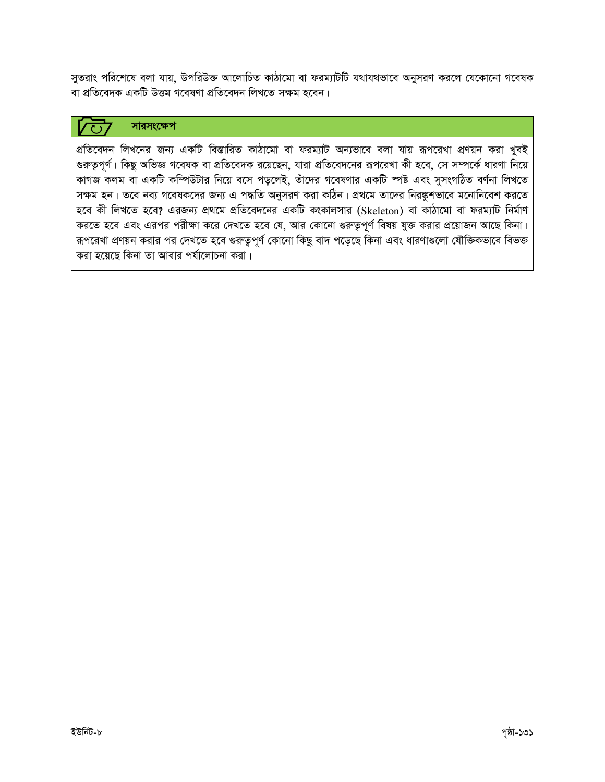সুতরাং পরিশেষে বলা যায়, উপরিউক্ত আলোচিত কাঠামো বা ফরম্যাটটি যথাযথভাবে অনুসরণ করলে যেকোনো গবেষক বা প্রতিবেদক একটি উত্তম গবেষণা প্রতিবেদন লিখতে সক্ষম হবেন।

#### সারসংক্ষেপ

প্রতিবেদন লিখনের জন্য একটি বিস্তারিত কাঠামো বা ফরম্যাট অন্যভাবে বলা যায় রূপরেখা প্রণয়ন করা খুবই গুরুতুপূর্ণ। কিছু অভিজ্ঞ গবেষক বা প্রতিবেদক রয়েছেন, যারা প্রতিবেদনের রূপরেখা কী হবে, সে সম্পর্কে ধারণা নিয়ে কাগজ কলম বা একটি কম্পিউটার নিয়ে বসে পড়লেই, তাঁদের গবেষণার একটি স্পষ্ট এবং সুসংগঠিত বর্ণনা লিখতে সক্ষম হন। তবে নব্য গবেষকদের জন্য এ পদ্ধতি অনুসরণ করা কঠিন। প্রথমে তাদের নিরষ্কুশভাবে মনোনিবেশ করতে হবে কী লিখতে হবে? এরজন্য প্রথমে প্রতিবেদনের একটি কংকালসার (Skeleton) বা কাঠামো বা ফরম্যাট নির্মাণ করতে হবে এবং এরপর পরীক্ষা করে দেখতে হবে যে, আর কোনো গুরুতুপূর্ণ বিষয় যুক্ত করার প্রয়োজন আছে কিনা। রূপরেখা প্রণয়ন করার পর দেখতে হবে গুরুতুপূর্ণ কোনো কিছু বাদ পড়েছে কিনা এবং ধারণাগুলো যৌক্তিকভাবে বিভক্ত করা হয়েছে কিনা তা আবার পর্যালোচনা করা।